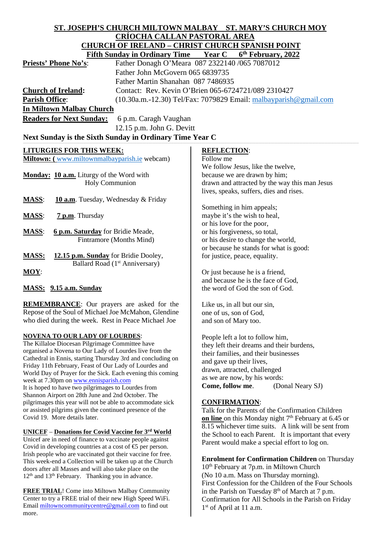# **ST. JOSEPH'S CHURCH MILTOWN MALBAY ST. MARY'S CHURCH MOY CRÍOCHA CALLAN PASTORAL AREA CHURCH OF IRELAND – CHRIST CHURCH SPANISH P**

| Fifth Sunday in Ordinary Time Year C<br>6 <sup>th</sup> February, 2022 |                                                                    |                    |                                               |
|------------------------------------------------------------------------|--------------------------------------------------------------------|--------------------|-----------------------------------------------|
| <b>Priests' Phone No's:</b>                                            | Father Donagh O'Meara 087 2322140 /065 7087012                     |                    |                                               |
|                                                                        | Father John McGovern 065 6839735                                   |                    |                                               |
|                                                                        | Father Martin Shanahan 087 7486935                                 |                    |                                               |
| <b>Church of Ireland:</b>                                              | Contact: Rev. Kevin O'Brien 065-6724721/089 2310427                |                    |                                               |
| <b>Parish Office:</b>                                                  | $(10.30a.m.-12.30)$ Tel/Fax: 7079829 Email: malbayparish@gmail.com |                    |                                               |
| <b>In Miltown Malbay Church</b>                                        |                                                                    |                    |                                               |
| <b>Readers for Next Sunday:</b><br>6 p.m. Caragh Vaughan               |                                                                    |                    |                                               |
|                                                                        | $12.15$ p.m. John G. Devitt                                        |                    |                                               |
| Next Sunday is the Sixth Sunday in Ordinary Time Year C                |                                                                    |                    |                                               |
| <b>LITURGIES FOR THIS WEEK:</b>                                        |                                                                    | <b>REFLECTION:</b> |                                               |
| <b>Miltown:</b> (www.miltownmalbayparish.ie webcam)                    |                                                                    | Follow me          |                                               |
|                                                                        |                                                                    |                    | We follow Jesus, like the twelve,             |
| <b>Monday: 10 a.m.</b> Liturgy of the Word with                        |                                                                    |                    | because we are drawn by him;                  |
| <b>Holy Communion</b>                                                  |                                                                    |                    | drawn and attracted by the way this man Jesus |
|                                                                        |                                                                    |                    | lives, speaks, suffers, dies and rises.       |

- **MASS**: **10 a.m**. Tuesday, Wednesday & Friday
- **MASS**: **7 p.m**. Thursday
- **MASS**: **6 p.m. Saturday** for Bridie Meade, Fintramore (Months Mind)
- **MASS: 12.15 p.m. Sunday** for Bridie Dooley, Ballard Road (1<sup>st</sup> Anniversary)
- **MOY**:

## **MASS: 9.15 a.m. Sunday**

**REMEMBRANCE**: Our prayers are asked for the Repose of the Soul of Michael Joe McMahon, Glendine who died during the week. Rest in Peace Michael Joe

## **NOVENA TO OUR LADY OF LOURDES**:

The Killaloe Diocesan Pilgrimage Committee have organised a Novena to Our Lady of Lourdes live from the Cathedral in Ennis, starting Thursday 3rd and concluding on Friday 11th February, Feast of Our Lady of Lourdes and World Day of Prayer for the Sick. Each evening this coming week at 7.30pm o[n www.ennisparish.com](http://www.ennisparish.com/) It is hoped to have two pilgrimages to Lourdes from Shannon Airport on 28th June and 2nd October. The pilgrimages this year will not be able to accommodate sick or assisted pilgrims given the continued presence of the Covid 19. More details later.

## **UNICEF** – **Donations for Covid Vaccine for 3rd World**

Unicef are in need of finance to vaccinate people against Covid in developing countries at a cost of  $\epsilon$  per person. Irish people who are vaccinated got their vaccine for free. This week-end a Collection will be taken up at the Church doors after all Masses and will also take place on the 12<sup>th</sup> and 13<sup>th</sup> February. Thanking you in advance.

**FREE TRIAL**! Come into Miltown Malbay Community Center to try a FREE trial of their new High Speed WiFi. Email [miltowncommunitycentre@gmail.com](mailto:miltowncommunitycentre@gmail.com) to find out more.

lives, speaks, suffers, dies and rises.

Something in him appeals; maybe it's the wish to heal, or his love for the poor, or his forgiveness, so total, or his desire to change the world, or because he stands for what is good: for justice, peace, equality.

Or just because he is a friend, and because he is the face of God, the word of God the son of God.

Like us, in all but our sin, one of us, son of God, and son of Mary too.

People left a lot to follow him, they left their dreams and their burdens, their families, and their businesses and gave up their lives, drawn, attracted, challenged as we are now, by his words: **Come, follow me**. (Donal Neary SJ)

## **CONFIRMATION**:

Talk for the Parents of the Confirmation Children **on line** on this Monday night 7<sup>th</sup> February at 6.45 or 8.15 whichever time suits. A link will be sent from the School to each Parent. It is important that every Parent would make a special effort to log on.

**Enrolment for Confirmation Children** on Thursday 10<sup>th</sup> February at 7p.m. in Miltown Church (No 10 a.m. Mass on Thursday morning). First Confession for the Children of the Four Schools in the Parish on Tuesday  $8<sup>th</sup>$  of March at 7 p.m. Confirmation for All Schools in the Parish on Friday 1<sup>st</sup> of April at 11 a.m.